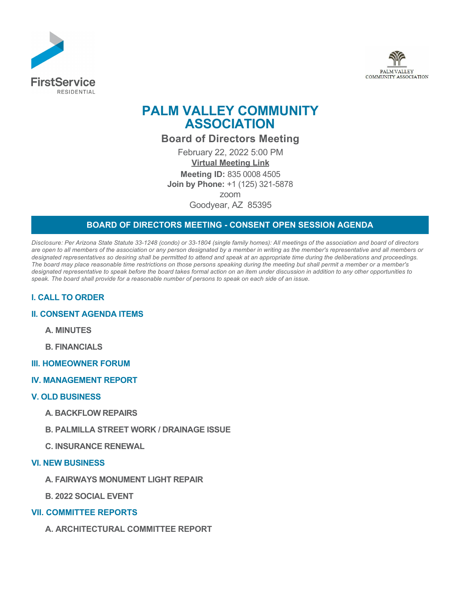



# **PALM VALLEY COMMUNITY ASSOCIATION**

**Board of Directors Meeting**

February 22, 2022 5:00 PM **[Virtual Meeting Link](https://us02web.zoom.us/j/83600084505) Meeting ID:** 835 0008 4505 **Join by Phone:** +1 (125) 321-5878 zoom Goodyear, AZ 85395

# **BOARD OF DIRECTORS MEETING - CONSENT OPEN SESSION AGENDA**

*Disclosure: Per Arizona State Statute 33-1248 (condo) or 33-1804 (single family homes): All meetings of the association and board of directors are open to all members of the association or any person designated by a member in writing as the member's representative and all members or designated representatives so desiring shall be permitted to attend and speak at an appropriate time during the deliberations and proceedings. The board may place reasonable time restrictions on those persons speaking during the meeting but shall permit a member or a member's designated representative to speak before the board takes formal action on an item under discussion in addition to any other opportunities to speak. The board shall provide for a reasonable number of persons to speak on each side of an issue.* 

# **I. CALL TO ORDER**

## **II. CONSENT AGENDA ITEMS**

**A. MINUTES**

**B. FINANCIALS**

#### **III. HOMEOWNER FORUM**

#### **IV. MANAGEMENT REPORT**

#### **V. OLD BUSINESS**

- **A. BACKFLOW REPAIRS**
- **B. PALMILLA STREET WORK / DRAINAGE ISSUE**
- **C. INSURANCE RENEWAL**

### **VI. NEW BUSINESS**

- **A. FAIRWAYS MONUMENT LIGHT REPAIR**
- **B. 2022 SOCIAL EVENT**

## **VII. COMMITTEE REPORTS**

**A. ARCHITECTURAL COMMITTEE REPORT**